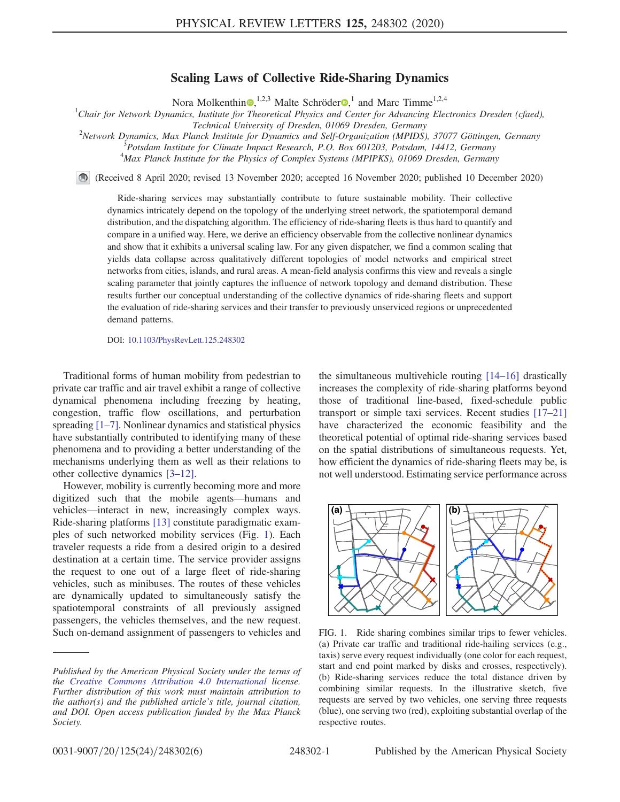## Scaling Laws of Collective Ride-Sharing Dynamics

Nora Molkenthin<sup>o</sup>,<sup>1,2,3</sup> Malte Schröder<sup>o</sup>,<sup>1</sup> and Marc Timme<sup>1,2,4</sup>

<sup>1</sup>Chair for Network Dynamics, Institute for Theoretical Physics and Center for Advancing Electronics Dresden (cfaed), Technical University of Dresden, 01069 Dresden, Germany <sup>2</sup>

 $N$ etwork Dynamics, Max Planck Institute for Dynamics and Self-Organization (MPIDS), 37077 Göttingen, Germany  ${}^{3}P$ otsdam Institute for Climate Impact Research, P.O. Box 601203, Potsdam, 14412, Germany <sup>4</sup>Max Planck Institute for the Physics of Complex Systems (MPIPKS), 01069 Dresden, Germany

(Received 8 April 2020; revised 13 November 2020; accepted 16 November 2020; published 10 December 2020)

Ride-sharing services may substantially contribute to future sustainable mobility. Their collective dynamics intricately depend on the topology of the underlying street network, the spatiotemporal demand distribution, and the dispatching algorithm. The efficiency of ride-sharing fleets is thus hard to quantify and compare in a unified way. Here, we derive an efficiency observable from the collective nonlinear dynamics and show that it exhibits a universal scaling law. For any given dispatcher, we find a common scaling that yields data collapse across qualitatively different topologies of model networks and empirical street networks from cities, islands, and rural areas. A mean-field analysis confirms this view and reveals a single scaling parameter that jointly captures the influence of network topology and demand distribution. These results further our conceptual understanding of the collective dynamics of ride-sharing fleets and support the evaluation of ride-sharing services and their transfer to previously unserviced regions or unprecedented demand patterns.

DOI: [10.1103/PhysRevLett.125.248302](https://doi.org/10.1103/PhysRevLett.125.248302)

Traditional forms of human mobility from pedestrian to private car traffic and air travel exhibit a range of collective dynamical phenomena including freezing by heating, congestion, traffic flow oscillations, and perturbation spreading [1–[7\]](#page-4-0). Nonlinear dynamics and statistical physics have substantially contributed to identifying many of these phenomena and to providing a better understanding of the mechanisms underlying them as well as their relations to other collective dynamics [3–[12\].](#page-4-1)

However, mobility is currently becoming more and more digitized such that the mobile agents—humans and vehicles—interact in new, increasingly complex ways. Ride-sharing platforms [\[13\]](#page-4-2) constitute paradigmatic examples of such networked mobility services (Fig. [1\)](#page-0-0). Each traveler requests a ride from a desired origin to a desired destination at a certain time. The service provider assigns the request to one out of a large fleet of ride-sharing vehicles, such as minibuses. The routes of these vehicles are dynamically updated to simultaneously satisfy the spatiotemporal constraints of all previously assigned passengers, the vehicles themselves, and the new request. Such on-demand assignment of passengers to vehicles and the simultaneous multivehicle routing [\[14](#page-4-3)–16] drastically increases the complexity of ride-sharing platforms beyond those of traditional line-based, fixed-schedule public transport or simple taxi services. Recent studies [\[17](#page-4-4)–21] have characterized the economic feasibility and the theoretical potential of optimal ride-sharing services based on the spatial distributions of simultaneous requests. Yet, how efficient the dynamics of ride-sharing fleets may be, is not well understood. Estimating service performance across

<span id="page-0-0"></span>

FIG. 1. Ride sharing combines similar trips to fewer vehicles. (a) Private car traffic and traditional ride-hailing services (e.g., taxis) serve every request individually (one color for each request, start and end point marked by disks and crosses, respectively). (b) Ride-sharing services reduce the total distance driven by combining similar requests. In the illustrative sketch, five requests are served by two vehicles, one serving three requests (blue), one serving two (red), exploiting substantial overlap of the respective routes.

Published by the American Physical Society under the terms of the [Creative Commons Attribution 4.0 International](https://creativecommons.org/licenses/by/4.0/) license. Further distribution of this work must maintain attribution to the author(s) and the published article's title, journal citation, and DOI. Open access publication funded by the Max Planck Society.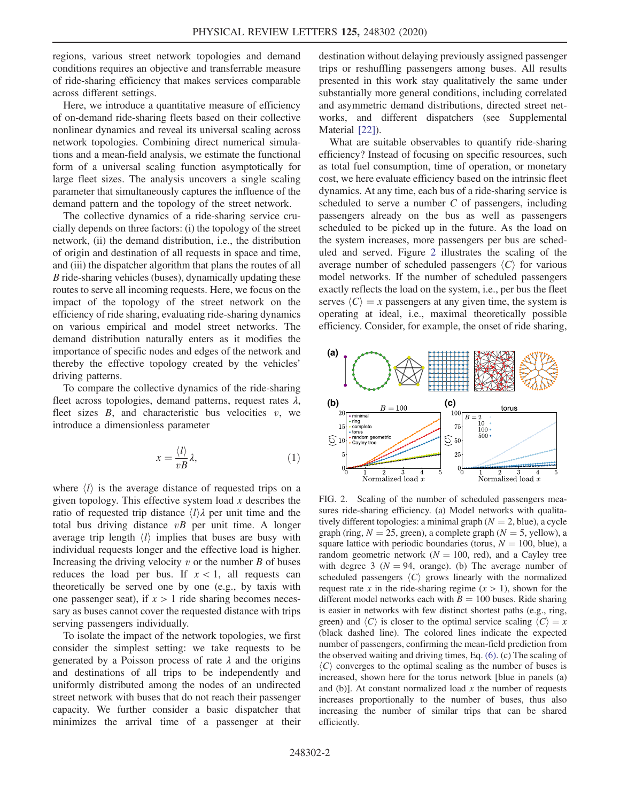regions, various street network topologies and demand conditions requires an objective and transferrable measure of ride-sharing efficiency that makes services comparable across different settings.

Here, we introduce a quantitative measure of efficiency of on-demand ride-sharing fleets based on their collective nonlinear dynamics and reveal its universal scaling across network topologies. Combining direct numerical simulations and a mean-field analysis, we estimate the functional form of a universal scaling function asymptotically for large fleet sizes. The analysis uncovers a single scaling parameter that simultaneously captures the influence of the demand pattern and the topology of the street network.

The collective dynamics of a ride-sharing service crucially depends on three factors: (i) the topology of the street network, (ii) the demand distribution, i.e., the distribution of origin and destination of all requests in space and time, and (iii) the dispatcher algorithm that plans the routes of all B ride-sharing vehicles (buses), dynamically updating these routes to serve all incoming requests. Here, we focus on the impact of the topology of the street network on the efficiency of ride sharing, evaluating ride-sharing dynamics on various empirical and model street networks. The demand distribution naturally enters as it modifies the importance of specific nodes and edges of the network and thereby the effective topology created by the vehicles' driving patterns.

To compare the collective dynamics of the ride-sharing fleet across topologies, demand patterns, request rates  $\lambda$ , fleet sizes  $B$ , and characteristic bus velocities  $v$ , we introduce a dimensionless parameter

$$
x = \frac{\langle l \rangle}{vB} \lambda,\tag{1}
$$

where  $\langle l \rangle$  is the average distance of requested trips on a given topology. This effective system load  $x$  describes the ratio of requested trip distance  $\langle l \rangle \lambda$  per unit time and the total bus driving distance  $vB$  per unit time. A longer average trip length  $\langle l \rangle$  implies that buses are busy with individual requests longer and the effective load is higher. Increasing the driving velocity  $v$  or the number  $B$  of buses reduces the load per bus. If  $x < 1$ , all requests can theoretically be served one by one (e.g., by taxis with one passenger seat), if  $x > 1$  ride sharing becomes necessary as buses cannot cover the requested distance with trips serving passengers individually.

To isolate the impact of the network topologies, we first consider the simplest setting: we take requests to be generated by a Poisson process of rate  $\lambda$  and the origins and destinations of all trips to be independently and uniformly distributed among the nodes of an undirected street network with buses that do not reach their passenger capacity. We further consider a basic dispatcher that minimizes the arrival time of a passenger at their destination without delaying previously assigned passenger trips or reshuffling passengers among buses. All results presented in this work stay qualitatively the same under substantially more general conditions, including correlated and asymmetric demand distributions, directed street networks, and different dispatchers (see Supplemental Material [\[22\]\)](#page-5-0).

What are suitable observables to quantify ride-sharing efficiency? Instead of focusing on specific resources, such as total fuel consumption, time of operation, or monetary cost, we here evaluate efficiency based on the intrinsic fleet dynamics. At any time, each bus of a ride-sharing service is scheduled to serve a number  $C$  of passengers, including passengers already on the bus as well as passengers scheduled to be picked up in the future. As the load on the system increases, more passengers per bus are scheduled and served. Figure [2](#page-1-0) illustrates the scaling of the average number of scheduled passengers  $\langle C \rangle$  for various model networks. If the number of scheduled passengers exactly reflects the load on the system, i.e., per bus the fleet serves  $\langle C \rangle = x$  passengers at any given time, the system is operating at ideal, i.e., maximal theoretically possible efficiency. Consider, for example, the onset of ride sharing,

<span id="page-1-0"></span>

FIG. 2. Scaling of the number of scheduled passengers measures ride-sharing efficiency. (a) Model networks with qualitatively different topologies: a minimal graph  $(N = 2, blue)$ , a cycle graph (ring,  $N = 25$ , green), a complete graph ( $N = 5$ , yellow), a square lattice with periodic boundaries (torus,  $N = 100$ , blue), a random geometric network ( $N = 100$ , red), and a Cayley tree with degree 3 ( $N = 94$ , orange). (b) The average number of scheduled passengers  $\langle C \rangle$  grows linearly with the normalized request rate x in the ride-sharing regime  $(x > 1)$ , shown for the different model networks each with  $B = 100$  buses. Ride sharing is easier in networks with few distinct shortest paths (e.g., ring, green) and  $\langle C \rangle$  is closer to the optimal service scaling  $\langle C \rangle = x$ (black dashed line). The colored lines indicate the expected number of passengers, confirming the mean-field prediction from the observed waiting and driving times, Eq. [\(6\)](#page-3-0). (c) The scaling of  $\langle C \rangle$  converges to the optimal scaling as the number of buses is increased, shown here for the torus network [blue in panels (a) and (b)]. At constant normalized load  $x$  the number of requests increases proportionally to the number of buses, thus also increasing the number of similar trips that can be shared efficiently.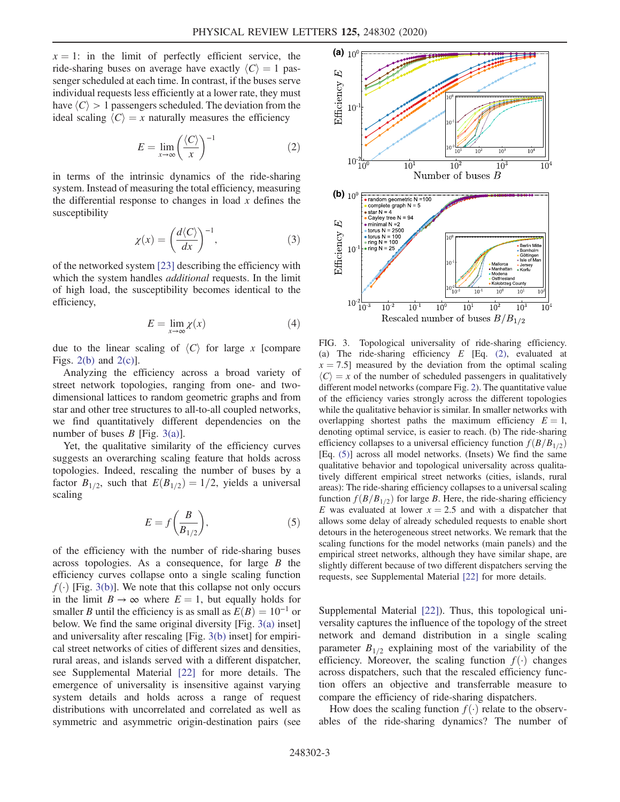<span id="page-2-1"></span> $x = 1$ : in the limit of perfectly efficient service, the ride-sharing buses on average have exactly  $\langle C \rangle = 1$  passenger scheduled at each time. In contrast, if the buses serve individual requests less efficiently at a lower rate, they must have  $\langle C \rangle > 1$  passengers scheduled. The deviation from the ideal scaling  $\langle C \rangle = x$  naturally measures the efficiency

$$
E = \lim_{x \to \infty} \left( \frac{\langle C \rangle}{x} \right)^{-1} \tag{2}
$$

in terms of the intrinsic dynamics of the ride-sharing system. Instead of measuring the total efficiency, measuring the differential response to changes in load  $x$  defines the susceptibility

$$
\chi(x) = \left(\frac{d\langle C \rangle}{dx}\right)^{-1},\tag{3}
$$

of the networked system [\[23\]](#page-5-1) describing the efficiency with which the system handles *additional* requests. In the limit of high load, the susceptibility becomes identical to the efficiency,

$$
E = \lim_{x \to \infty} \chi(x) \tag{4}
$$

due to the linear scaling of  $\langle C \rangle$  for large x [compare Figs.  $2(b)$  and  $2(c)$ ].

Analyzing the efficiency across a broad variety of street network topologies, ranging from one- and twodimensional lattices to random geometric graphs and from star and other tree structures to all-to-all coupled networks, we find quantitatively different dependencies on the number of buses  $B$  [Fig. [3\(a\)](#page-2-0)].

<span id="page-2-2"></span>Yet, the qualitative similarity of the efficiency curves suggests an overarching scaling feature that holds across topologies. Indeed, rescaling the number of buses by a factor  $B_{1/2}$ , such that  $E(B_{1/2})=1/2$ , yields a universal scaling

$$
E = f\left(\frac{B}{B_{1/2}}\right),\tag{5}
$$

of the efficiency with the number of ride-sharing buses across topologies. As a consequence, for large  $B$  the efficiency curves collapse onto a single scaling function  $f(\cdot)$  [Fig. [3\(b\)\]](#page-2-0). We note that this collapse not only occurs in the limit  $B \to \infty$  where  $E = 1$ , but equally holds for smaller B until the efficiency is as small as  $E(B) = 10^{-1}$  or below. We find the same original diversity [Fig. [3\(a\)](#page-2-0) inset] and universality after rescaling [Fig. [3\(b\)](#page-2-0) inset] for empirical street networks of cities of different sizes and densities, rural areas, and islands served with a different dispatcher, see Supplemental Material [\[22\]](#page-5-0) for more details. The emergence of universality is insensitive against varying system details and holds across a range of request distributions with uncorrelated and correlated as well as symmetric and asymmetric origin-destination pairs (see

<span id="page-2-0"></span>

FIG. 3. Topological universality of ride-sharing efficiency. (a) The ride-sharing efficiency  $E$  [Eq. [\(2\)](#page-2-1), evaluated at  $x = 7.5$  measured by the deviation from the optimal scaling  $\langle C \rangle = x$  of the number of scheduled passengers in qualitatively different model networks (compare Fig. [2](#page-1-0)). The quantitative value of the efficiency varies strongly across the different topologies while the qualitative behavior is similar. In smaller networks with overlapping shortest paths the maximum efficiency  $E = 1$ , denoting optimal service, is easier to reach. (b) The ride-sharing efficiency collapses to a universal efficiency function  $f(B/B_{1/2})$ [Eq. [\(5\)](#page-2-2)] across all model networks. (Insets) We find the same qualitative behavior and topological universality across qualitatively different empirical street networks (cities, islands, rural areas): The ride-sharing efficiency collapses to a universal scaling function  $f(B/B_{1/2})$  for large B. Here, the ride-sharing efficiency E was evaluated at lower  $x = 2.5$  and with a dispatcher that allows some delay of already scheduled requests to enable short detours in the heterogeneous street networks. We remark that the scaling functions for the model networks (main panels) and the empirical street networks, although they have similar shape, are slightly different because of two different dispatchers serving the requests, see Supplemental Material [\[22\]](#page-5-0) for more details.

Supplemental Material [\[22\]\)](#page-5-0). Thus, this topological universality captures the influence of the topology of the street network and demand distribution in a single scaling parameter  $B_{1/2}$  explaining most of the variability of the efficiency. Moreover, the scaling function  $f(\cdot)$  changes across dispatchers, such that the rescaled efficiency function offers an objective and transferrable measure to compare the efficiency of ride-sharing dispatchers.

How does the scaling function  $f(\cdot)$  relate to the observables of the ride-sharing dynamics? The number of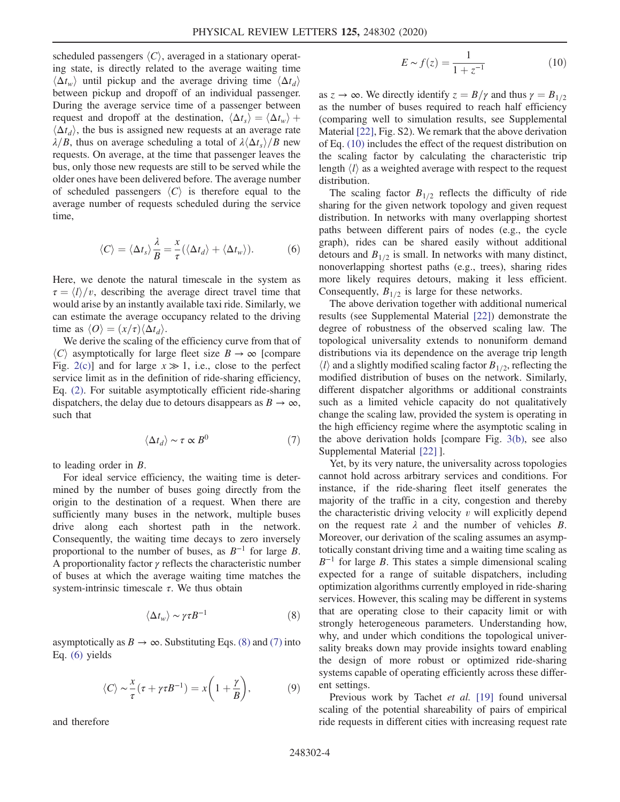scheduled passengers  $\langle C \rangle$ , averaged in a stationary operating state, is directly related to the average waiting time  $\langle \Delta t_w \rangle$  until pickup and the average driving time  $\langle \Delta t_d \rangle$ between pickup and dropoff of an individual passenger. During the average service time of a passenger between request and dropoff at the destination,  $\langle \Delta t_s \rangle = \langle \Delta t_w \rangle +$  $\langle \Delta t_d \rangle$ , the bus is assigned new requests at an average rate  $\lambda/B$ , thus on average scheduling a total of  $\lambda \langle \Delta t_s \rangle/B$  new requests. On average, at the time that passenger leaves the bus, only those new requests are still to be served while the older ones have been delivered before. The average number of scheduled passengers  $\langle C \rangle$  is therefore equal to the average number of requests scheduled during the service time,

<span id="page-3-0"></span>
$$
\langle C \rangle = \langle \Delta t_s \rangle \frac{\lambda}{B} = \frac{x}{\tau} (\langle \Delta t_d \rangle + \langle \Delta t_w \rangle). \tag{6}
$$

Here, we denote the natural timescale in the system as  $\tau = \langle l \rangle / v$ , describing the average direct travel time that would arise by an instantly available taxi ride. Similarly, we can estimate the average occupancy related to the driving time as  $\langle O \rangle = (x/\tau) \langle \Delta t_d \rangle$ .

<span id="page-3-2"></span>We derive the scaling of the efficiency curve from that of  $\langle C \rangle$  asymptotically for large fleet size  $B \to \infty$  [compare Fig. [2\(c\)\]](#page-1-0) and for large  $x \gg 1$ , i.e., close to the perfect service limit as in the definition of ride-sharing efficiency, Eq. [\(2\)](#page-2-1). For suitable asymptotically efficient ride-sharing dispatchers, the delay due to detours disappears as  $B \to \infty$ , such that

$$
\langle \Delta t_d \rangle \sim \tau \propto B^0 \tag{7}
$$

to leading order in B.

For ideal service efficiency, the waiting time is determined by the number of buses going directly from the origin to the destination of a request. When there are sufficiently many buses in the network, multiple buses drive along each shortest path in the network. Consequently, the waiting time decays to zero inversely proportional to the number of buses, as  $B^{-1}$  for large B. A proportionality factor  $\gamma$  reflects the characteristic number of buses at which the average waiting time matches the system-intrinsic timescale  $\tau$ . We thus obtain

$$
\langle \Delta t_w \rangle \sim \gamma \tau B^{-1} \tag{8}
$$

<span id="page-3-1"></span>asymptotically as  $B \to \infty$ . Substituting Eqs. [\(8\)](#page-3-1) and [\(7\)](#page-3-2) into Eq. [\(6\)](#page-3-0) yields

$$
\langle C \rangle \sim \frac{x}{\tau} (\tau + \gamma \tau B^{-1}) = x \left( 1 + \frac{\gamma}{B} \right), \tag{9}
$$

<span id="page-3-3"></span>and therefore

$$
E \sim f(z) = \frac{1}{1 + z^{-1}}\tag{10}
$$

as  $z \to \infty$ . We directly identify  $z = B/\gamma$  and thus  $\gamma = B_{1/2}$ as the number of buses required to reach half efficiency (comparing well to simulation results, see Supplemental Material [\[22\]](#page-5-0), Fig. S2). We remark that the above derivation of Eq. [\(10\)](#page-3-3) includes the effect of the request distribution on the scaling factor by calculating the characteristic trip length  $\langle l \rangle$  as a weighted average with respect to the request distribution.

The scaling factor  $B_{1/2}$  reflects the difficulty of ride sharing for the given network topology and given request distribution. In networks with many overlapping shortest paths between different pairs of nodes (e.g., the cycle graph), rides can be shared easily without additional detours and  $B_{1/2}$  is small. In networks with many distinct, nonoverlapping shortest paths (e.g., trees), sharing rides more likely requires detours, making it less efficient. Consequently,  $B_{1/2}$  is large for these networks.

The above derivation together with additional numerical results (see Supplemental Material [\[22\]\)](#page-5-0) demonstrate the degree of robustness of the observed scaling law. The topological universality extends to nonuniform demand distributions via its dependence on the average trip length  $\langle l \rangle$  and a slightly modified scaling factor  $B_{1/2}$ , reflecting the modified distribution of buses on the network. Similarly, different dispatcher algorithms or additional constraints such as a limited vehicle capacity do not qualitatively change the scaling law, provided the system is operating in the high efficiency regime where the asymptotic scaling in the above derivation holds [compare Fig. [3\(b\),](#page-2-0) see also Supplemental Material [\[22\]](#page-5-0) ].

Yet, by its very nature, the universality across topologies cannot hold across arbitrary services and conditions. For instance, if the ride-sharing fleet itself generates the majority of the traffic in a city, congestion and thereby the characteristic driving velocity  $v$  will explicitly depend on the request rate  $\lambda$  and the number of vehicles  $B$ . Moreover, our derivation of the scaling assumes an asymptotically constant driving time and a waiting time scaling as  $B^{-1}$  for large B. This states a simple dimensional scaling expected for a range of suitable dispatchers, including optimization algorithms currently employed in ride-sharing services. However, this scaling may be different in systems that are operating close to their capacity limit or with strongly heterogeneous parameters. Understanding how, why, and under which conditions the topological universality breaks down may provide insights toward enabling the design of more robust or optimized ride-sharing systems capable of operating efficiently across these different settings.

Previous work by Tachet et al. [\[19\]](#page-4-5) found universal scaling of the potential shareability of pairs of empirical ride requests in different cities with increasing request rate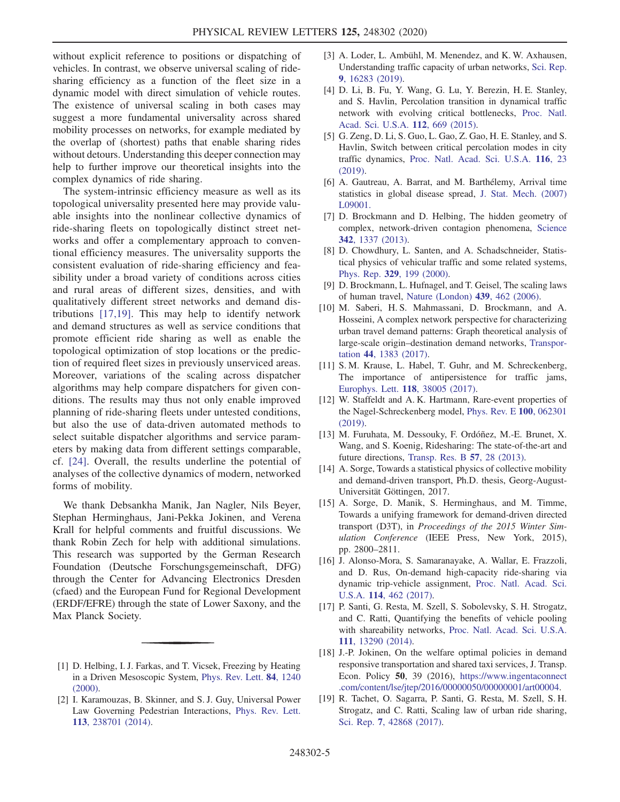without explicit reference to positions or dispatching of vehicles. In contrast, we observe universal scaling of ridesharing efficiency as a function of the fleet size in a dynamic model with direct simulation of vehicle routes. The existence of universal scaling in both cases may suggest a more fundamental universality across shared mobility processes on networks, for example mediated by the overlap of (shortest) paths that enable sharing rides without detours. Understanding this deeper connection may help to further improve our theoretical insights into the complex dynamics of ride sharing.

The system-intrinsic efficiency measure as well as its topological universality presented here may provide valuable insights into the nonlinear collective dynamics of ride-sharing fleets on topologically distinct street networks and offer a complementary approach to conventional efficiency measures. The universality supports the consistent evaluation of ride-sharing efficiency and feasibility under a broad variety of conditions across cities and rural areas of different sizes, densities, and with qualitatively different street networks and demand distributions [\[17,19\]](#page-4-4). This may help to identify network and demand structures as well as service conditions that promote efficient ride sharing as well as enable the topological optimization of stop locations or the prediction of required fleet sizes in previously unserviced areas. Moreover, variations of the scaling across dispatcher algorithms may help compare dispatchers for given conditions. The results may thus not only enable improved planning of ride-sharing fleets under untested conditions, but also the use of data-driven automated methods to select suitable dispatcher algorithms and service parameters by making data from different settings comparable, cf. [\[24\].](#page-5-2) Overall, the results underline the potential of analyses of the collective dynamics of modern, networked forms of mobility.

We thank Debsankha Manik, Jan Nagler, Nils Beyer, Stephan Herminghaus, Jani-Pekka Jokinen, and Verena Krall for helpful comments and fruitful discussions. We thank Robin Zech for help with additional simulations. This research was supported by the German Research Foundation (Deutsche Forschungsgemeinschaft, DFG) through the Center for Advancing Electronics Dresden (cfaed) and the European Fund for Regional Development (ERDF/EFRE) through the state of Lower Saxony, and the Max Planck Society.

- <span id="page-4-1"></span>[3] A. Loder, L. Ambühl, M. Menendez, and K. W. Axhausen, Understanding traffic capacity of urban networks, [Sci. Rep.](https://doi.org/10.1038/s41598-019-51539-5) 9[, 16283 \(2019\)](https://doi.org/10.1038/s41598-019-51539-5).
- [4] D. Li, B. Fu, Y. Wang, G. Lu, Y. Berezin, H. E. Stanley, and S. Havlin, Percolation transition in dynamical traffic network with evolving critical bottlenecks, [Proc. Natl.](https://doi.org/10.1073/pnas.1419185112) [Acad. Sci. U.S.A.](https://doi.org/10.1073/pnas.1419185112) 112, 669 (2015).
- [5] G. Zeng, D. Li, S. Guo, L. Gao, Z. Gao, H. E. Stanley, and S. Havlin, Switch between critical percolation modes in city traffic dynamics, [Proc. Natl. Acad. Sci. U.S.A.](https://doi.org/10.1073/pnas.1801545116) 116, 23 [\(2019\).](https://doi.org/10.1073/pnas.1801545116)
- [6] A. Gautreau, A. Barrat, and M. Barthélemy, Arrival time statistics in global disease spread, [J. Stat. Mech. \(2007\)](https://doi.org/10.1088/1742-5468/2007/09/L09001) [L09001.](https://doi.org/10.1088/1742-5468/2007/09/L09001)
- [7] D. Brockmann and D. Helbing, The hidden geometry of complex, network-driven contagion phenomena, [Science](https://doi.org/10.1126/science.1245200) 342[, 1337 \(2013\)](https://doi.org/10.1126/science.1245200).
- [8] D. Chowdhury, L. Santen, and A. Schadschneider, Statistical physics of vehicular traffic and some related systems, Phys. Rep. 329[, 199 \(2000\).](https://doi.org/10.1016/S0370-1573(99)00117-9)
- [9] D. Brockmann, L. Hufnagel, and T. Geisel, The scaling laws of human travel, [Nature \(London\)](https://doi.org/10.1038/nature04292) 439, 462 (2006).
- [10] M. Saberi, H. S. Mahmassani, D. Brockmann, and A. Hosseini, A complex network perspective for characterizing urban travel demand patterns: Graph theoretical analysis of large-scale origin–destination demand networks, [Transpor](https://doi.org/10.1007/s11116-016-9706-6)tation 44[, 1383 \(2017\)](https://doi.org/10.1007/s11116-016-9706-6).
- [11] S. M. Krause, L. Habel, T. Guhr, and M. Schreckenberg, The importance of antipersistence for traffic jams, [Europhys. Lett.](https://doi.org/10.1209/0295-5075/118/38005) 118, 38005 (2017).
- [12] W. Staffeldt and A. K. Hartmann, Rare-event properties of the Nagel-Schreckenberg model, [Phys. Rev. E](https://doi.org/10.1103/PhysRevE.100.062301) 100, 062301 [\(2019\).](https://doi.org/10.1103/PhysRevE.100.062301)
- <span id="page-4-2"></span>[13] M. Furuhata, M. Dessouky, F. Ordóñez, M.-E. Brunet, X. Wang, and S. Koenig, Ridesharing: The state-of-the-art and future directions, [Transp. Res. B](https://doi.org/10.1016/j.trb.2013.08.012) 57, 28 (2013).
- <span id="page-4-3"></span>[14] A. Sorge, Towards a statistical physics of collective mobility and demand-driven transport, Ph.D. thesis, Georg-August-Universität Göttingen, 2017.
- [15] A. Sorge, D. Manik, S. Herminghaus, and M. Timme, Towards a unifying framework for demand-driven directed transport (D3T), in Proceedings of the 2015 Winter Simulation Conference (IEEE Press, New York, 2015), pp. 2800–2811.
- [16] J. Alonso-Mora, S. Samaranayake, A. Wallar, E. Frazzoli, and D. Rus, On-demand high-capacity ride-sharing via dynamic trip-vehicle assignment, [Proc. Natl. Acad. Sci.](https://doi.org/10.1073/pnas.1611675114) U.S.A. 114[, 462 \(2017\).](https://doi.org/10.1073/pnas.1611675114)
- <span id="page-4-4"></span>[17] P. Santi, G. Resta, M. Szell, S. Sobolevsky, S. H. Strogatz, and C. Ratti, Quantifying the benefits of vehicle pooling with shareability networks, [Proc. Natl. Acad. Sci. U.S.A.](https://doi.org/10.1073/pnas.1403657111) 111[, 13290 \(2014\).](https://doi.org/10.1073/pnas.1403657111)
- <span id="page-4-5"></span>[18] J.-P. Jokinen, On the welfare optimal policies in demand responsive transportation and shared taxi services, J. Transp. Econ. Policy 50, 39 (2016), [https://www.ingentaconnect](https://www.ingentaconnect.com/content/lse/jtep/2016/00000050/00000001/art00004) [.com/content/lse/jtep/2016/00000050/00000001/art00004](https://www.ingentaconnect.com/content/lse/jtep/2016/00000050/00000001/art00004).
- [19] R. Tachet, O. Sagarra, P. Santi, G. Resta, M. Szell, S. H. Strogatz, and C. Ratti, Scaling law of urban ride sharing, Sci. Rep. 7[, 42868 \(2017\)](https://doi.org/10.1038/srep42868).

<span id="page-4-0"></span><sup>[1]</sup> D. Helbing, I. J. Farkas, and T. Vicsek, Freezing by Heating in a Driven Mesoscopic System, [Phys. Rev. Lett.](https://doi.org/10.1103/PhysRevLett.84.1240) 84, 1240 [\(2000\).](https://doi.org/10.1103/PhysRevLett.84.1240)

<sup>[2]</sup> I. Karamouzas, B. Skinner, and S. J. Guy, Universal Power Law Governing Pedestrian Interactions, [Phys. Rev. Lett.](https://doi.org/10.1103/PhysRevLett.113.238701) 113[, 238701 \(2014\).](https://doi.org/10.1103/PhysRevLett.113.238701)